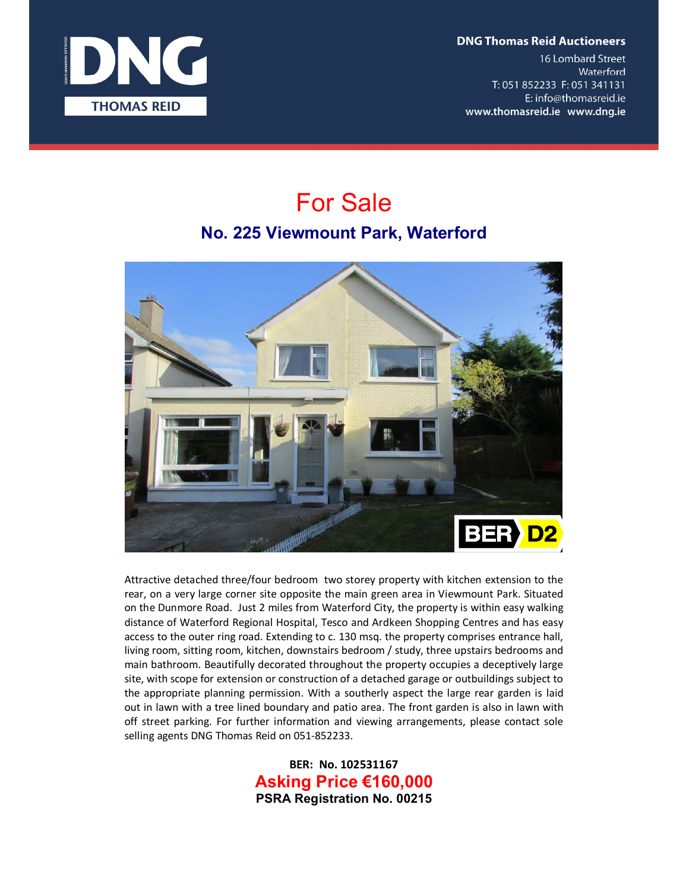**DNG Thomas Reid Auctioneers** 

16 Lombard Street Waterford T: 051 852233 F: 051 341131 E: info@thomasreid.ie www.thomasreid.ie www.dng.ie



## For Sale **No. 225 Viewmount Park, Waterford**



Attractive detached three/four bedroom two storey property with kitchen extension to the rear, on a very large corner site opposite the main green area in Viewmount Park. Situated on the Dunmore Road. Just 2 miles from Waterford City, the property is within easy walking distance of Waterford Regional Hospital, Tesco and Ardkeen Shopping Centres and has easy access to the outer ring road. Extending to c. 130 msq. the property comprises entrance hall, living room, sitting room, kitchen, downstairs bedroom / study, three upstairs bedrooms and main bathroom. Beautifully decorated throughout the property occupies a deceptively large site, with scope for extension or construction of a detached garage or outbuildings subject to the appropriate planning permission. With a southerly aspect the large rear garden is laid out in lawn with a tree lined boundary and patio area. The front garden is also in lawn with off street parking. For further information and viewing arrangements, please contact sole selling agents DNG Thomas Reid on 051-852233.

> **BER: No. 102531167 Asking Price €160,000 PSRA Registration No. 00215**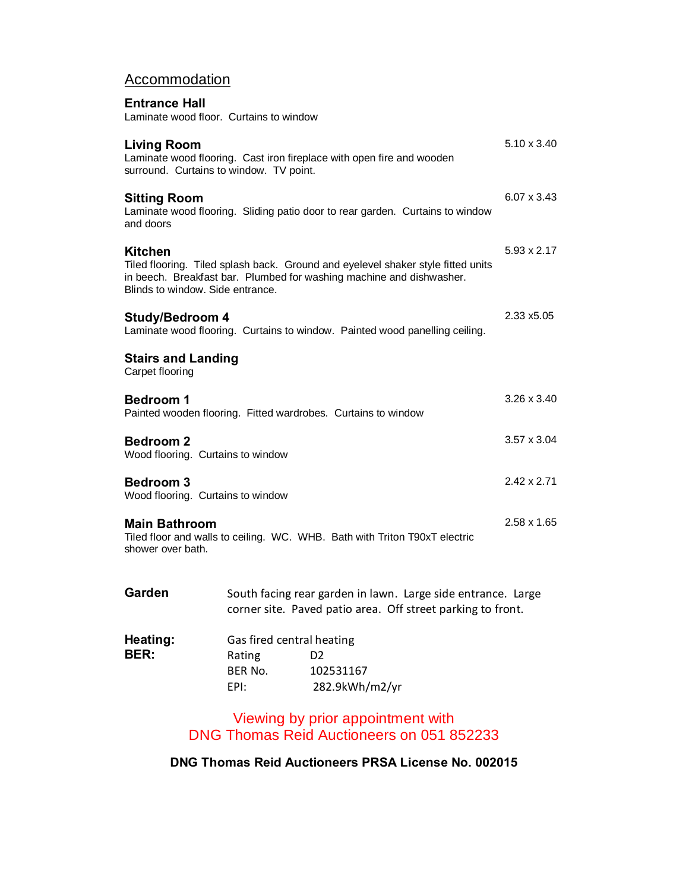## **Accommodation**

| <b>Entrance Hall</b> |  |
|----------------------|--|

Laminate wood floor. Curtains to window

| <b>Living Room</b><br>surround. Curtains to window. TV point.                     |                                                                                                                             | Laminate wood flooring. Cast iron fireplace with open fire and wooden                                                                                    | $5.10 \times 3.40$ |
|-----------------------------------------------------------------------------------|-----------------------------------------------------------------------------------------------------------------------------|----------------------------------------------------------------------------------------------------------------------------------------------------------|--------------------|
| <b>Sitting Room</b><br>and doors                                                  |                                                                                                                             | Laminate wood flooring. Sliding patio door to rear garden. Curtains to window                                                                            | $6.07 \times 3.43$ |
| <b>Kitchen</b><br>Blinds to window. Side entrance.                                |                                                                                                                             | Tiled flooring. Tiled splash back. Ground and eyelevel shaker style fitted units<br>in beech. Breakfast bar. Plumbed for washing machine and dishwasher. | $5.93 \times 2.17$ |
| <b>Study/Bedroom 4</b>                                                            |                                                                                                                             | Laminate wood flooring. Curtains to window. Painted wood panelling ceiling.                                                                              | 2.33 x5.05         |
| <b>Stairs and Landing</b><br>Carpet flooring                                      |                                                                                                                             |                                                                                                                                                          |                    |
| <b>Bedroom 1</b><br>Painted wooden flooring. Fitted wardrobes. Curtains to window |                                                                                                                             | $3.26 \times 3.40$                                                                                                                                       |                    |
| <b>Bedroom 2</b><br>Wood flooring. Curtains to window                             |                                                                                                                             |                                                                                                                                                          | $3.57 \times 3.04$ |
| <b>Bedroom 3</b><br>Wood flooring. Curtains to window                             |                                                                                                                             |                                                                                                                                                          | $2.42 \times 2.71$ |
| <b>Main Bathroom</b><br>shower over bath.                                         |                                                                                                                             | Tiled floor and walls to ceiling. WC. WHB. Bath with Triton T90xT electric                                                                               | $2.58 \times 1.65$ |
| Garden                                                                            | South facing rear garden in lawn. Large side entrance. Large<br>corner site. Paved patio area. Off street parking to front. |                                                                                                                                                          |                    |
| Heating:<br>BER:                                                                  | Gas fired central heating<br>Rating<br><b>BER No.</b><br>EPI:                                                               | D <sub>2</sub><br>102531167<br>282.9kWh/m2/yr                                                                                                            |                    |

## Viewing by prior appointment with DNG Thomas Reid Auctioneers on 051 852233

**DNG Thomas Reid Auctioneers PRSA License No. 002015**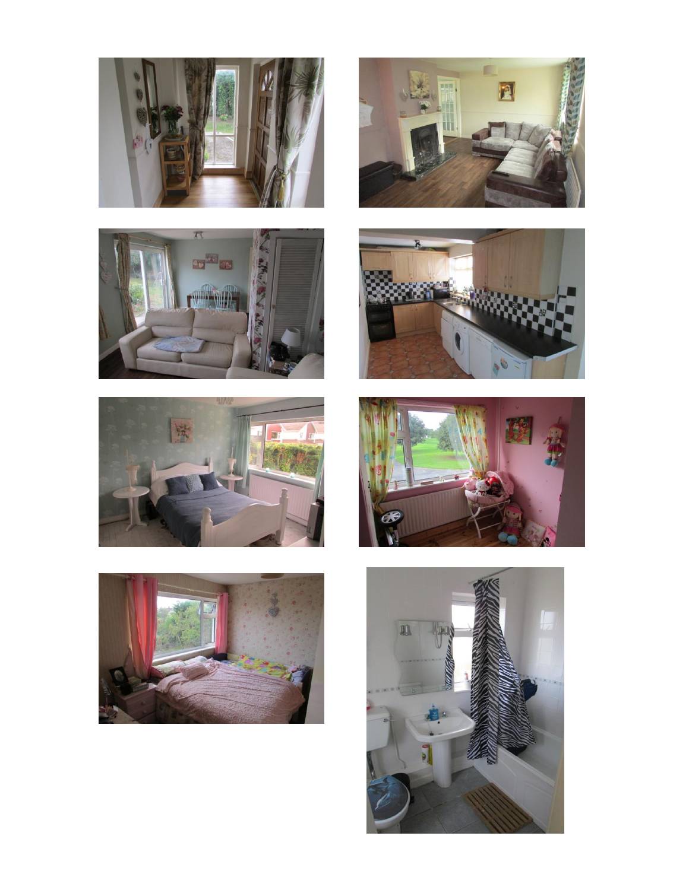